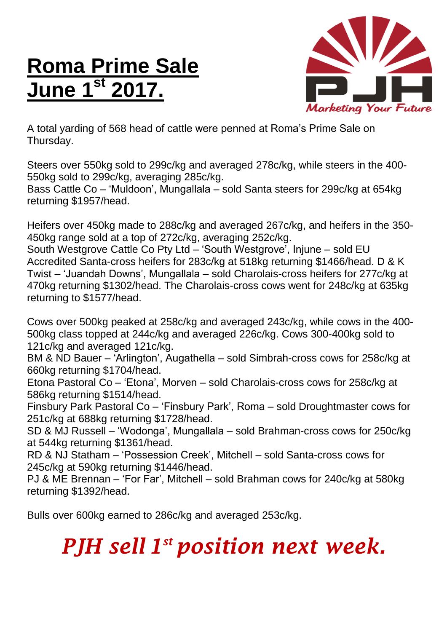## **Roma Prime Sale June 1st 2017.**



A total yarding of 568 head of cattle were penned at Roma's Prime Sale on Thursday.

Steers over 550kg sold to 299c/kg and averaged 278c/kg, while steers in the 400- 550kg sold to 299c/kg, averaging 285c/kg.

Bass Cattle Co – 'Muldoon', Mungallala – sold Santa steers for 299c/kg at 654kg returning \$1957/head.

Heifers over 450kg made to 288c/kg and averaged 267c/kg, and heifers in the 350- 450kg range sold at a top of 272c/kg, averaging 252c/kg.

South Westgrove Cattle Co Pty Ltd – 'South Westgrove', Injune – sold EU Accredited Santa-cross heifers for 283c/kg at 518kg returning \$1466/head. D & K Twist – 'Juandah Downs', Mungallala – sold Charolais-cross heifers for 277c/kg at 470kg returning \$1302/head. The Charolais-cross cows went for 248c/kg at 635kg returning to \$1577/head.

Cows over 500kg peaked at 258c/kg and averaged 243c/kg, while cows in the 400- 500kg class topped at 244c/kg and averaged 226c/kg. Cows 300-400kg sold to 121c/kg and averaged 121c/kg.

BM & ND Bauer – 'Arlington', Augathella – sold Simbrah-cross cows for 258c/kg at 660kg returning \$1704/head.

Etona Pastoral Co – 'Etona', Morven – sold Charolais-cross cows for 258c/kg at 586kg returning \$1514/head.

Finsbury Park Pastoral Co – 'Finsbury Park', Roma – sold Droughtmaster cows for 251c/kg at 688kg returning \$1728/head.

SD & MJ Russell – 'Wodonga', Mungallala – sold Brahman-cross cows for 250c/kg at 544kg returning \$1361/head.

RD & NJ Statham – 'Possession Creek', Mitchell – sold Santa-cross cows for 245c/kg at 590kg returning \$1446/head.

PJ & ME Brennan – 'For Far', Mitchell – sold Brahman cows for 240c/kg at 580kg returning \$1392/head.

Bulls over 600kg earned to 286c/kg and averaged 253c/kg.

## *PJH sell 1 st position next week.*